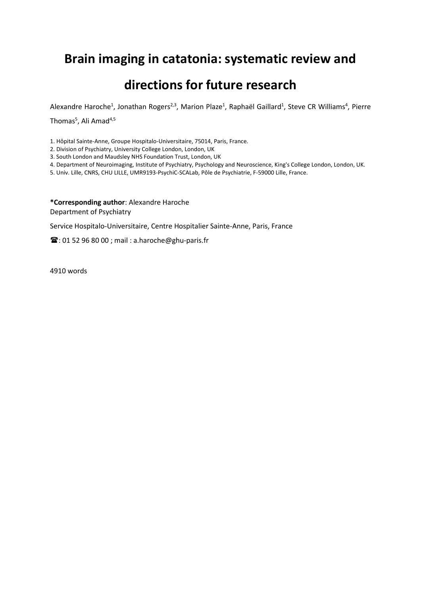# **Brain imaging in catatonia: systematic review and**

# **directions for future research**

Alexandre Haroche<sup>1</sup>, Jonathan Rogers<sup>2,3</sup>, Marion Plaze<sup>1</sup>, Raphaël Gaillard<sup>1</sup>, Steve CR Williams<sup>4</sup>, Pierre

Thomas<sup>5</sup>, Ali Amad<sup>4,5</sup>

1. Hôpital Sainte-Anne, Groupe Hospitalo-Universitaire, 75014, Paris, France.

2. Division of Psychiatry, University College London, London, UK

3. South London and Maudsley NHS Foundation Trust, London, UK

4. Department of Neuroimaging, Institute of Psychiatry, Psychology and Neuroscience, King's College London, London, UK.

5. Univ. Lille, CNRS, CHU LILLE, UMR9193-PsychiC-SCALab, Pôle de Psychiatrie, F-59000 Lille, France.

**\*Corresponding author**: Alexandre Haroche Department of Psychiatry

Service Hospitalo-Universitaire, Centre Hospitalier Sainte-Anne, Paris, France

 $\mathbf{\widehat{m}}$ : 01 52 96 80 00; mail: a.haroche@ghu-paris.fr

4910 words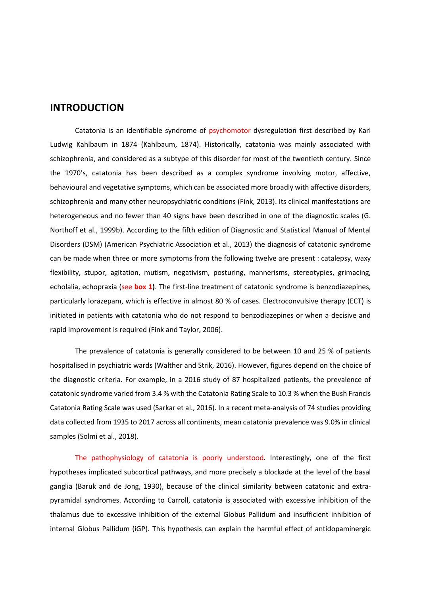## **INTRODUCTION**

Catatonia is an identifiable syndrome of psychomotor dysregulation first described by Karl Ludwig Kahlbaum in 1874 (Kahlbaum, 1874). Historically, catatonia was mainly associated with schizophrenia, and considered as a subtype of this disorder for most of the twentieth century. Since the 1970's, catatonia has been described as a complex syndrome involving motor, affective, behavioural and vegetative symptoms, which can be associated more broadly with affective disorders, schizophrenia and many other neuropsychiatric conditions (Fink, 2013). Its clinical manifestations are heterogeneous and no fewer than 40 signs have been described in one of the diagnostic scales (G. Northoff et al., 1999b). According to the fifth edition of Diagnostic and Statistical Manual of Mental Disorders (DSM) (American Psychiatric Association et al., 2013) the diagnosis of catatonic syndrome can be made when three or more symptoms from the following twelve are present : catalepsy, waxy flexibility, stupor, agitation, mutism, negativism, posturing, mannerisms, stereotypies, grimacing, echolalia, echopraxia (see **box 1)**. The first-line treatment of catatonic syndrome is benzodiazepines, particularly lorazepam, which is effective in almost 80 % of cases. Electroconvulsive therapy (ECT) is initiated in patients with catatonia who do not respond to benzodiazepines or when a decisive and rapid improvement is required (Fink and Taylor, 2006).

The prevalence of catatonia is generally considered to be between 10 and 25 % of patients hospitalised in psychiatric wards (Walther and Strik, 2016). However, figures depend on the choice of the diagnostic criteria. For example, in a 2016 study of 87 hospitalized patients, the prevalence of catatonic syndrome varied from 3.4 % with the Catatonia Rating Scale to 10.3 % when the Bush Francis Catatonia Rating Scale was used (Sarkar et al., 2016). In a recent meta-analysis of 74 studies providing data collected from 1935 to 2017 across all continents, mean catatonia prevalence was 9.0% in clinical samples (Solmi et al., 2018).

The pathophysiology of catatonia is poorly understood. Interestingly, one of the first hypotheses implicated subcortical pathways, and more precisely a blockade at the level of the basal ganglia (Baruk and de Jong, 1930), because of the clinical similarity between catatonic and extrapyramidal syndromes. According to Carroll, catatonia is associated with excessive inhibition of the thalamus due to excessive inhibition of the external Globus Pallidum and insufficient inhibition of internal Globus Pallidum (iGP). This hypothesis can explain the harmful effect of antidopaminergic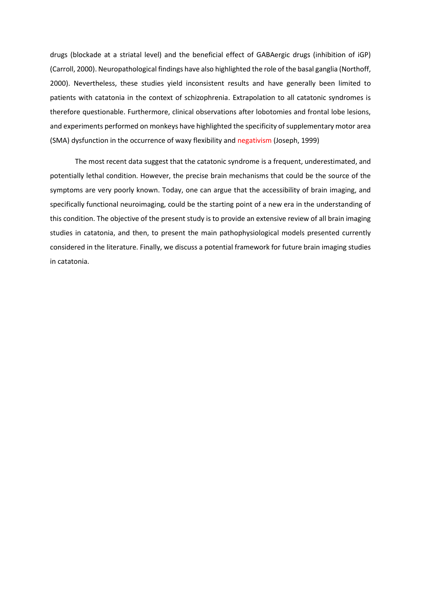drugs (blockade at a striatal level) and the beneficial effect of GABAergic drugs (inhibition of iGP) (Carroll, 2000). Neuropathological findings have also highlighted the role of the basal ganglia (Northoff, 2000). Nevertheless, these studies yield inconsistent results and have generally been limited to patients with catatonia in the context of schizophrenia. Extrapolation to all catatonic syndromes is therefore questionable. Furthermore, clinical observations after lobotomies and frontal lobe lesions, and experiments performed on monkeys have highlighted the specificity of supplementary motor area (SMA) dysfunction in the occurrence of waxy flexibility and negativism (Joseph, 1999)

The most recent data suggest that the catatonic syndrome is a frequent, underestimated, and potentially lethal condition. However, the precise brain mechanisms that could be the source of the symptoms are very poorly known. Today, one can argue that the accessibility of brain imaging, and specifically functional neuroimaging, could be the starting point of a new era in the understanding of this condition. The objective of the present study is to provide an extensive review of all brain imaging studies in catatonia, and then, to present the main pathophysiological models presented currently considered in the literature. Finally, we discuss a potential framework for future brain imaging studies in catatonia.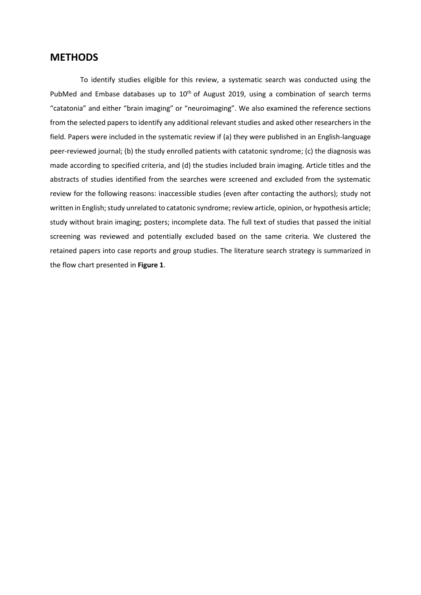## **METHODS**

To identify studies eligible for this review, a systematic search was conducted using the PubMed and Embase databases up to  $10<sup>th</sup>$  of August 2019, using a combination of search terms "catatonia" and either "brain imaging" or "neuroimaging". We also examined the reference sections from the selected papers to identify any additional relevant studies and asked other researchers in the field. Papers were included in the systematic review if (a) they were published in an English-language peer-reviewed journal; (b) the study enrolled patients with catatonic syndrome; (c) the diagnosis was made according to specified criteria, and (d) the studies included brain imaging. Article titles and the abstracts of studies identified from the searches were screened and excluded from the systematic review for the following reasons: inaccessible studies (even after contacting the authors); study not written in English; study unrelated to catatonic syndrome; review article, opinion, or hypothesis article; study without brain imaging; posters; incomplete data. The full text of studies that passed the initial screening was reviewed and potentially excluded based on the same criteria. We clustered the retained papers into case reports and group studies. The literature search strategy is summarized in the flow chart presented in **Figure 1**.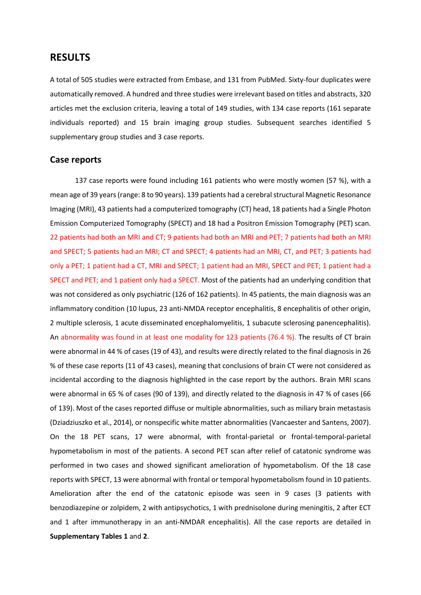## **RESULTS**

A total of 505 studies were extracted from Embase, and 131 from PubMed. Sixty-four duplicates were automatically removed. A hundred and three studies were irrelevant based on titles and abstracts, 320 articles met the exclusion criteria, leaving a total of 149 studies, with 134 case reports (161 separate individuals reported) and 15 brain imaging group studies. Subsequent searches identified 5 supplementary group studies and 3 case reports.

### **Case reports**

137 case reports were found including 161 patients who were mostly women (57 %), with a mean age of 39 years(range: 8 to 90 years). 139 patients had a cerebral structural Magnetic Resonance Imaging (MRI), 43 patients had a computerized tomography (CT) head, 18 patients had a Single Photon Emission Computerized Tomography (SPECT) and 18 had a Positron Emission Tomography (PET) scan. 22 patients had both an MRI and CT; 9 patients had both an MRI and PET; 7 patients had both an MRI and SPECT; 5 patients had an MRI; CT and SPECT; 4 patients had an MRI, CT, and PET; 3 patients had only a PET; 1 patient had a CT, MRI and SPECT; 1 patient had an MRI, SPECT and PET; 1 patient had a SPECT and PET; and 1 patient only had a SPECT. Most of the patients had an underlying condition that was not considered as only psychiatric (126 of 162 patients). In 45 patients, the main diagnosis was an inflammatory condition (10 lupus, 23 anti-NMDA receptor encephalitis, 8 encephalitis of other origin, 2 multiple sclerosis, 1 acute disseminated encephalomyelitis, 1 subacute sclerosing panencephalitis). An abnormality was found in at least one modality for 123 patients (76.4 %). The results of CT brain were abnormal in 44 % of cases (19 of 43), and results were directly related to the final diagnosis in 26 % of these case reports (11 of 43 cases), meaning that conclusions of brain CT were not considered as incidental according to the diagnosis highlighted in the case report by the authors. Brain MRI scans were abnormal in 65 % of cases (90 of 139), and directly related to the diagnosis in 47 % of cases (66 of 139). Most of the cases reported diffuse or multiple abnormalities, such as miliary brain metastasis (Dziadziuszko et al., 2014), or nonspecific white matter abnormalities (Vancaester and Santens, 2007). On the 18 PET scans, 17 were abnormal, with frontal-parietal or frontal-temporal-parietal hypometabolism in most of the patients. A second PET scan after relief of catatonic syndrome was performed in two cases and showed significant amelioration of hypometabolism. Of the 18 case reports with SPECT, 13 were abnormal with frontal or temporal hypometabolism found in 10 patients. Amelioration after the end of the catatonic episode was seen in 9 cases (3 patients with benzodiazepine or zolpidem, 2 with antipsychotics, 1 with prednisolone during meningitis, 2 after ECT and 1 after immunotherapy in an anti-NMDAR encephalitis). All the case reports are detailed in **Supplementary Tables 1** and **2**.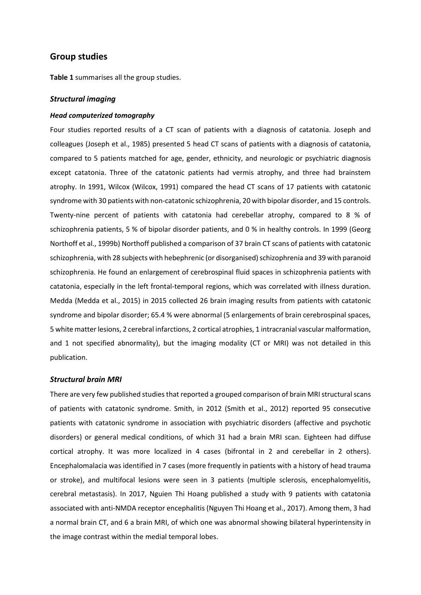## **Group studies**

**Table 1** summarises all the group studies.

#### *Structural imaging*

#### *Head computerized tomography*

Four studies reported results of a CT scan of patients with a diagnosis of catatonia. Joseph and colleagues (Joseph et al., 1985) presented 5 head CT scans of patients with a diagnosis of catatonia, compared to 5 patients matched for age, gender, ethnicity, and neurologic or psychiatric diagnosis except catatonia. Three of the catatonic patients had vermis atrophy, and three had brainstem atrophy. In 1991, Wilcox (Wilcox, 1991) compared the head CT scans of 17 patients with catatonic syndrome with 30 patients with non-catatonic schizophrenia, 20 with bipolar disorder, and 15 controls. Twenty-nine percent of patients with catatonia had cerebellar atrophy, compared to 8 % of schizophrenia patients, 5 % of bipolar disorder patients, and 0 % in healthy controls. In 1999 (Georg Northoff et al., 1999b) Northoff published a comparison of 37 brain CT scans of patients with catatonic schizophrenia, with 28 subjects with hebephrenic (or disorganised) schizophrenia and 39 with paranoid schizophrenia. He found an enlargement of cerebrospinal fluid spaces in schizophrenia patients with catatonia, especially in the left frontal-temporal regions, which was correlated with illness duration. Medda (Medda et al., 2015) in 2015 collected 26 brain imaging results from patients with catatonic syndrome and bipolar disorder; 65.4 % were abnormal (5 enlargements of brain cerebrospinal spaces, 5 white matter lesions, 2 cerebral infarctions, 2 cortical atrophies, 1 intracranial vascular malformation, and 1 not specified abnormality), but the imaging modality (CT or MRI) was not detailed in this publication.

#### *Structural brain MRI*

There are very few published studies that reported a grouped comparison of brain MRI structural scans of patients with catatonic syndrome. Smith, in 2012 (Smith et al., 2012) reported 95 consecutive patients with catatonic syndrome in association with psychiatric disorders (affective and psychotic disorders) or general medical conditions, of which 31 had a brain MRI scan. Eighteen had diffuse cortical atrophy. It was more localized in 4 cases (bifrontal in 2 and cerebellar in 2 others). Encephalomalacia was identified in 7 cases (more frequently in patients with a history of head trauma or stroke), and multifocal lesions were seen in 3 patients (multiple sclerosis, encephalomyelitis, cerebral metastasis). In 2017, Nguien Thi Hoang published a study with 9 patients with catatonia associated with anti-NMDA receptor encephalitis (Nguyen Thi Hoang et al., 2017). Among them, 3 had a normal brain CT, and 6 a brain MRI, of which one was abnormal showing bilateral hyperintensity in the image contrast within the medial temporal lobes.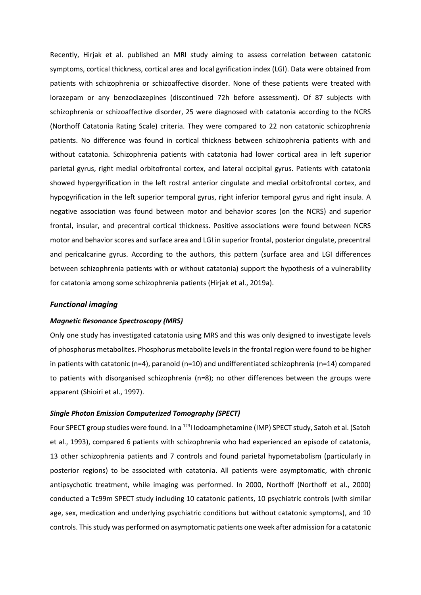Recently, Hirjak et al. published an MRI study aiming to assess correlation between catatonic symptoms, cortical thickness, cortical area and local gyrification index (LGI). Data were obtained from patients with schizophrenia or schizoaffective disorder. None of these patients were treated with lorazepam or any benzodiazepines (discontinued 72h before assessment). Of 87 subjects with schizophrenia or schizoaffective disorder, 25 were diagnosed with catatonia according to the NCRS (Northoff Catatonia Rating Scale) criteria. They were compared to 22 non catatonic schizophrenia patients. No difference was found in cortical thickness between schizophrenia patients with and without catatonia. Schizophrenia patients with catatonia had lower cortical area in left superior parietal gyrus, right medial orbitofrontal cortex, and lateral occipital gyrus. Patients with catatonia showed hypergyrification in the left rostral anterior cingulate and medial orbitofrontal cortex, and hypogyrification in the left superior temporal gyrus, right inferior temporal gyrus and right insula. A negative association was found between motor and behavior scores (on the NCRS) and superior frontal, insular, and precentral cortical thickness. Positive associations were found between NCRS motor and behavior scores and surface area and LGI in superior frontal, posterior cingulate, precentral and pericalcarine gyrus. According to the authors, this pattern (surface area and LGI differences between schizophrenia patients with or without catatonia) support the hypothesis of a vulnerability for catatonia among some schizophrenia patients (Hirjak et al., 2019a).

#### *Functional imaging*

#### *Magnetic Resonance Spectroscopy (MRS)*

Only one study has investigated catatonia using MRS and this was only designed to investigate levels of phosphorus metabolites. Phosphorus metabolite levelsin the frontal region were found to be higher in patients with catatonic (n=4), paranoid (n=10) and undifferentiated schizophrenia (n=14) compared to patients with disorganised schizophrenia (n=8); no other differences between the groups were apparent (Shioiri et al., 1997).

## *Single Photon Emission Computerized Tomography (SPECT)*

Four SPECT group studies were found. In a <sup>123</sup>I Iodoamphetamine (IMP) SPECT study, Satoh et al. (Satoh et al., 1993), compared 6 patients with schizophrenia who had experienced an episode of catatonia, 13 other schizophrenia patients and 7 controls and found parietal hypometabolism (particularly in posterior regions) to be associated with catatonia. All patients were asymptomatic, with chronic antipsychotic treatment, while imaging was performed. In 2000, Northoff (Northoff et al., 2000) conducted a Tc99m SPECT study including 10 catatonic patients, 10 psychiatric controls (with similar age, sex, medication and underlying psychiatric conditions but without catatonic symptoms), and 10 controls. This study was performed on asymptomatic patients one week after admission for a catatonic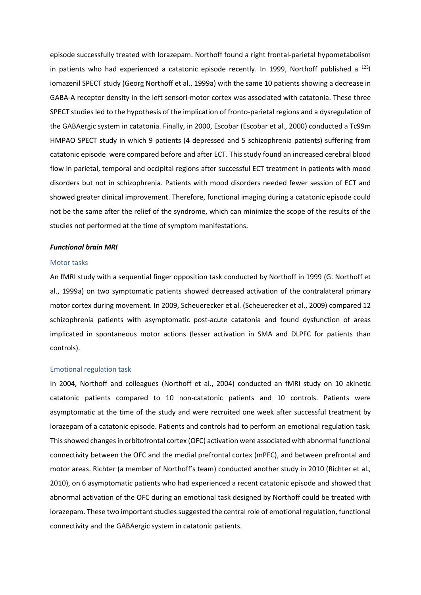episode successfully treated with lorazepam. Northoff found a right frontal-parietal hypometabolism in patients who had experienced a catatonic episode recently. In 1999, Northoff published a  $^{123}$ iomazenil SPECT study (Georg Northoff et al., 1999a) with the same 10 patients showing a decrease in GABA-A receptor density in the left sensori-motor cortex was associated with catatonia. These three SPECT studies led to the hypothesis of the implication of fronto-parietal regions and a dysregulation of the GABAergic system in catatonia. Finally, in 2000, Escobar (Escobar et al., 2000) conducted a Tc99m HMPAO SPECT study in which 9 patients (4 depressed and 5 schizophrenia patients) suffering from catatonic episode were compared before and after ECT. This study found an increased cerebral blood flow in parietal, temporal and occipital regions after successful ECT treatment in patients with mood disorders but not in schizophrenia. Patients with mood disorders needed fewer session of ECT and showed greater clinical improvement. Therefore, functional imaging during a catatonic episode could not be the same after the relief of the syndrome, which can minimize the scope of the results of the studies not performed at the time of symptom manifestations.

#### *Functional brain MRI*

#### Motor tasks

An fMRI study with a sequential finger opposition task conducted by Northoff in 1999 (G. Northoff et al., 1999a) on two symptomatic patients showed decreased activation of the contralateral primary motor cortex during movement. In 2009, Scheuerecker et al. (Scheuerecker et al., 2009) compared 12 schizophrenia patients with asymptomatic post-acute catatonia and found dysfunction of areas implicated in spontaneous motor actions (lesser activation in SMA and DLPFC for patients than controls).

#### Emotional regulation task

In 2004, Northoff and colleagues (Northoff et al., 2004) conducted an fMRI study on 10 akinetic catatonic patients compared to 10 non-catatonic patients and 10 controls. Patients were asymptomatic at the time of the study and were recruited one week after successful treatment by lorazepam of a catatonic episode. Patients and controls had to perform an emotional regulation task. Thisshowed changes in orbitofrontal cortex (OFC) activation were associated with abnormal functional connectivity between the OFC and the medial prefrontal cortex (mPFC), and between prefrontal and motor areas. Richter (a member of Northoff's team) conducted another study in 2010 (Richter et al., 2010), on 6 asymptomatic patients who had experienced a recent catatonic episode and showed that abnormal activation of the OFC during an emotional task designed by Northoff could be treated with lorazepam. These two important studies suggested the central role of emotional regulation, functional connectivity and the GABAergic system in catatonic patients.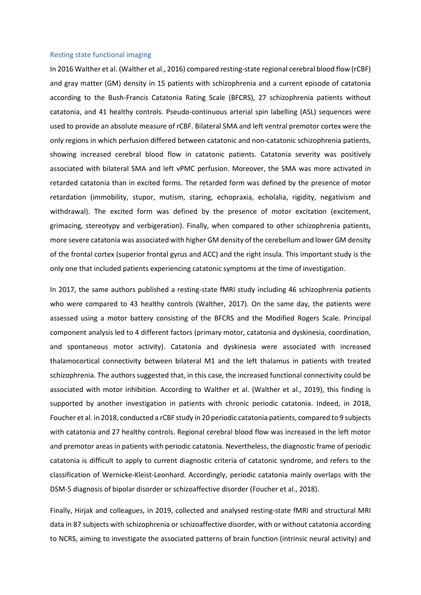#### Resting state functional imaging

In 2016 Walther et al. (Walther et al., 2016) compared resting-state regional cerebral blood flow (rCBF) and gray matter (GM) density in 15 patients with schizophrenia and a current episode of catatonia according to the Bush-Francis Catatonia Rating Scale (BFCRS), 27 schizophrenia patients without catatonia, and 41 healthy controls. Pseudo-continuous arterial spin labelling (ASL) sequences were used to provide an absolute measure of rCBF. Bilateral SMA and left ventral premotor cortex were the only regions in which perfusion differed between catatonic and non-catatonic schizophrenia patients, showing increased cerebral blood flow in catatonic patients. Catatonia severity was positively associated with bilateral SMA and left vPMC perfusion. Moreover, the SMA was more activated in retarded catatonia than in excited forms. The retarded form was defined by the presence of motor retardation (immobility, stupor, mutism, staring, echopraxia, echolalia, rigidity, negativism and withdrawal). The excited form was defined by the presence of motor excitation (excitement, grimacing, stereotypy and verbigeration). Finally, when compared to other schizophrenia patients, more severe catatonia was associated with higher GM density of the cerebellum and lower GM density of the frontal cortex (superior frontal gyrus and ACC) and the right insula. This important study is the only one that included patients experiencing catatonic symptoms at the time of investigation.

In 2017, the same authors published a resting-state fMRI study including 46 schizophrenia patients who were compared to 43 healthy controls (Walther, 2017). On the same day, the patients were assessed using a motor battery consisting of the BFCRS and the Modified Rogers Scale. Principal component analysis led to 4 different factors (primary motor, catatonia and dyskinesia, coordination, and spontaneous motor activity). Catatonia and dyskinesia were associated with increased thalamocortical connectivity between bilateral M1 and the left thalamus in patients with treated schizophrenia. The authors suggested that, in this case, the increased functional connectivity could be associated with motor inhibition. According to Walther et al. (Walther et al., 2019), this finding is supported by another investigation in patients with chronic periodic catatonia. Indeed, in 2018, Foucher et al. in 2018, conducted a rCBF study in 20 periodic catatonia patients, compared to 9 subjects with catatonia and 27 healthy controls. Regional cerebral blood flow was increased in the left motor and premotor areas in patients with periodic catatonia. Nevertheless, the diagnostic frame of periodic catatonia is difficult to apply to current diagnostic criteria of catatonic syndrome, and refers to the classification of Wernicke-Kleist-Leonhard. Accordingly, periodic catatonia mainly overlaps with the DSM-5 diagnosis of bipolar disorder or schizoaffective disorder (Foucher et al., 2018).

Finally, Hirjak and colleagues, in 2019, collected and analysed resting-state fMRI and structural MRI data in 87 subjects with schizophrenia or schizoaffective disorder, with or without catatonia according to NCRS, aiming to investigate the associated patterns of brain function (intrinsic neural activity) and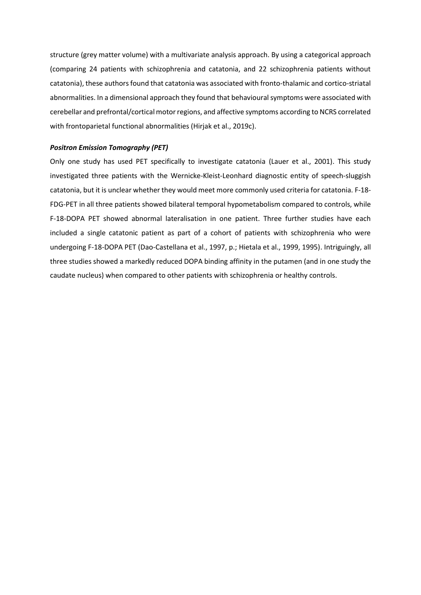structure (grey matter volume) with a multivariate analysis approach. By using a categorical approach (comparing 24 patients with schizophrenia and catatonia, and 22 schizophrenia patients without catatonia), these authors found that catatonia was associated with fronto-thalamic and cortico-striatal abnormalities. In a dimensional approach they found that behavioural symptoms were associated with cerebellar and prefrontal/cortical motor regions, and affective symptoms according to NCRS correlated with frontoparietal functional abnormalities (Hirjak et al., 2019c).

### *Positron Emission Tomography (PET)*

Only one study has used PET specifically to investigate catatonia (Lauer et al., 2001). This study investigated three patients with the Wernicke-Kleist-Leonhard diagnostic entity of speech-sluggish catatonia, but it is unclear whether they would meet more commonly used criteria for catatonia. F-18- FDG-PET in all three patients showed bilateral temporal hypometabolism compared to controls, while F-18-DOPA PET showed abnormal lateralisation in one patient. Three further studies have each included a single catatonic patient as part of a cohort of patients with schizophrenia who were undergoing F-18-DOPA PET (Dao-Castellana et al., 1997, p.; Hietala et al., 1999, 1995). Intriguingly, all three studies showed a markedly reduced DOPA binding affinity in the putamen (and in one study the caudate nucleus) when compared to other patients with schizophrenia or healthy controls.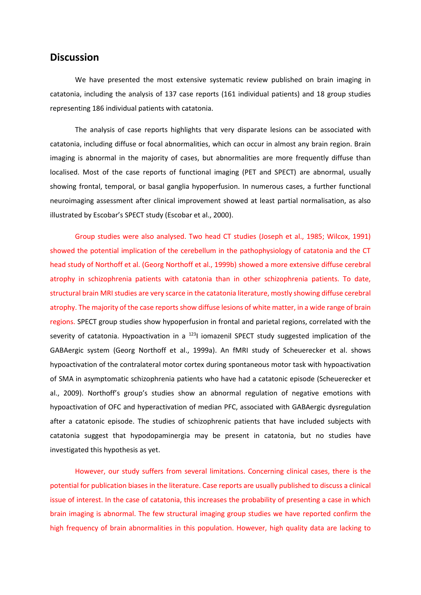# **Discussion**

We have presented the most extensive systematic review published on brain imaging in catatonia, including the analysis of 137 case reports (161 individual patients) and 18 group studies representing 186 individual patients with catatonia.

The analysis of case reports highlights that very disparate lesions can be associated with catatonia, including diffuse or focal abnormalities, which can occur in almost any brain region. Brain imaging is abnormal in the majority of cases, but abnormalities are more frequently diffuse than localised. Most of the case reports of functional imaging (PET and SPECT) are abnormal, usually showing frontal, temporal, or basal ganglia hypoperfusion. In numerous cases, a further functional neuroimaging assessment after clinical improvement showed at least partial normalisation, as also illustrated by Escobar's SPECT study (Escobar et al., 2000).

Group studies were also analysed. Two head CT studies (Joseph et al., 1985; Wilcox, 1991) showed the potential implication of the cerebellum in the pathophysiology of catatonia and the CT head study of Northoff et al. (Georg Northoff et al., 1999b) showed a more extensive diffuse cerebral atrophy in schizophrenia patients with catatonia than in other schizophrenia patients. To date, structural brain MRI studies are very scarce in the catatonia literature, mostly showing diffuse cerebral atrophy. The majority of the case reports show diffuse lesions of white matter, in a wide range of brain regions. SPECT group studies show hypoperfusion in frontal and parietal regions, correlated with the severity of catatonia. Hypoactivation in a  $1231$  iomazenil SPECT study suggested implication of the GABAergic system (Georg Northoff et al., 1999a). An fMRI study of Scheuerecker et al. shows hypoactivation of the contralateral motor cortex during spontaneous motor task with hypoactivation of SMA in asymptomatic schizophrenia patients who have had a catatonic episode (Scheuerecker et al., 2009). Northoff's group's studies show an abnormal regulation of negative emotions with hypoactivation of OFC and hyperactivation of median PFC, associated with GABAergic dysregulation after a catatonic episode. The studies of schizophrenic patients that have included subjects with catatonia suggest that hypodopaminergia may be present in catatonia, but no studies have investigated this hypothesis as yet.

However, our study suffers from several limitations. Concerning clinical cases, there is the potential for publication biases in the literature. Case reports are usually published to discuss a clinical issue of interest. In the case of catatonia, this increases the probability of presenting a case in which brain imaging is abnormal. The few structural imaging group studies we have reported confirm the high frequency of brain abnormalities in this population. However, high quality data are lacking to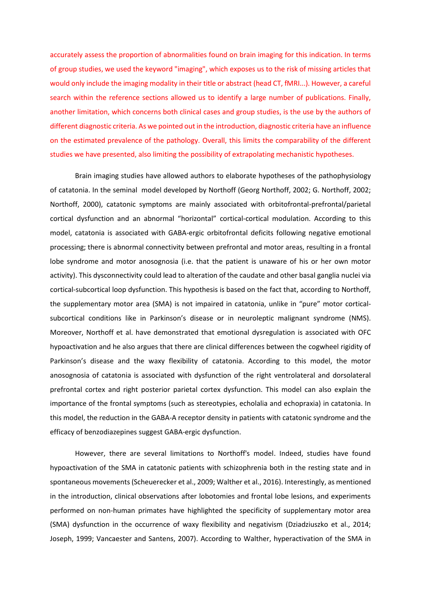accurately assess the proportion of abnormalities found on brain imaging for this indication. In terms of group studies, we used the keyword "imaging", which exposes us to the risk of missing articles that would only include the imaging modality in their title or abstract (head CT, fMRI...). However, a careful search within the reference sections allowed us to identify a large number of publications. Finally, another limitation, which concerns both clinical cases and group studies, is the use by the authors of different diagnostic criteria. As we pointed out in the introduction, diagnostic criteria have an influence on the estimated prevalence of the pathology. Overall, this limits the comparability of the different studies we have presented, also limiting the possibility of extrapolating mechanistic hypotheses.

Brain imaging studies have allowed authors to elaborate hypotheses of the pathophysiology of catatonia. In the seminal model developed by Northoff (Georg Northoff, 2002; G. Northoff, 2002; Northoff, 2000), catatonic symptoms are mainly associated with orbitofrontal-prefrontal/parietal cortical dysfunction and an abnormal "horizontal" cortical-cortical modulation. According to this model, catatonia is associated with GABA-ergic orbitofrontal deficits following negative emotional processing; there is abnormal connectivity between prefrontal and motor areas, resulting in a frontal lobe syndrome and motor anosognosia (i.e. that the patient is unaware of his or her own motor activity). This dysconnectivity could lead to alteration of the caudate and other basal ganglia nuclei via cortical-subcortical loop dysfunction. This hypothesis is based on the fact that, according to Northoff, the supplementary motor area (SMA) is not impaired in catatonia, unlike in "pure" motor corticalsubcortical conditions like in Parkinson's disease or in neuroleptic malignant syndrome (NMS). Moreover, Northoff et al. have demonstrated that emotional dysregulation is associated with OFC hypoactivation and he also argues that there are clinical differences between the cogwheel rigidity of Parkinson's disease and the waxy flexibility of catatonia. According to this model, the motor anosognosia of catatonia is associated with dysfunction of the right ventrolateral and dorsolateral prefrontal cortex and right posterior parietal cortex dysfunction. This model can also explain the importance of the frontal symptoms (such as stereotypies, echolalia and echopraxia) in catatonia. In this model, the reduction in the GABA-A receptor density in patients with catatonic syndrome and the efficacy of benzodiazepines suggest GABA-ergic dysfunction.

However, there are several limitations to Northoff's model. Indeed, studies have found hypoactivation of the SMA in catatonic patients with schizophrenia both in the resting state and in spontaneous movements (Scheuerecker et al., 2009; Walther et al., 2016). Interestingly, as mentioned in the introduction, clinical observations after lobotomies and frontal lobe lesions, and experiments performed on non-human primates have highlighted the specificity of supplementary motor area (SMA) dysfunction in the occurrence of waxy flexibility and negativism (Dziadziuszko et al., 2014; Joseph, 1999; Vancaester and Santens, 2007). According to Walther, hyperactivation of the SMA in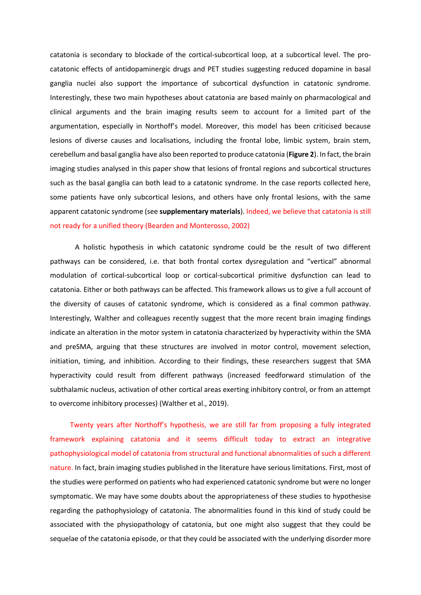catatonia is secondary to blockade of the cortical-subcortical loop, at a subcortical level. The procatatonic effects of antidopaminergic drugs and PET studies suggesting reduced dopamine in basal ganglia nuclei also support the importance of subcortical dysfunction in catatonic syndrome. Interestingly, these two main hypotheses about catatonia are based mainly on pharmacological and clinical arguments and the brain imaging results seem to account for a limited part of the argumentation, especially in Northoff's model. Moreover, this model has been criticised because lesions of diverse causes and localisations, including the frontal lobe, limbic system, brain stem, cerebellum and basal ganglia have also been reported to produce catatonia (**Figure 2**). In fact, the brain imaging studies analysed in this paper show that lesions of frontal regions and subcortical structures such as the basal ganglia can both lead to a catatonic syndrome. In the case reports collected here, some patients have only subcortical lesions, and others have only frontal lesions, with the same apparent catatonic syndrome (see **supplementary materials**). Indeed, we believe that catatonia is still not ready for a unified theory (Bearden and Monterosso, 2002)

A holistic hypothesis in which catatonic syndrome could be the result of two different pathways can be considered, i.e. that both frontal cortex dysregulation and "vertical" abnormal modulation of cortical-subcortical loop or cortical-subcortical primitive dysfunction can lead to catatonia. Either or both pathways can be affected. This framework allows us to give a full account of the diversity of causes of catatonic syndrome, which is considered as a final common pathway. Interestingly, Walther and colleagues recently suggest that the more recent brain imaging findings indicate an alteration in the motor system in catatonia characterized by hyperactivity within the SMA and preSMA, arguing that these structures are involved in motor control, movement selection, initiation, timing, and inhibition. According to their findings, these researchers suggest that SMA hyperactivity could result from different pathways (increased feedforward stimulation of the subthalamic nucleus, activation of other cortical areas exerting inhibitory control, or from an attempt to overcome inhibitory processes) (Walther et al., 2019).

Twenty years after Northoff's hypothesis, we are still far from proposing a fully integrated framework explaining catatonia and it seems difficult today to extract an integrative pathophysiological model of catatonia from structural and functional abnormalities of such a different nature. In fact, brain imaging studies published in the literature have serious limitations. First, most of the studies were performed on patients who had experienced catatonic syndrome but were no longer symptomatic. We may have some doubts about the appropriateness of these studies to hypothesise regarding the pathophysiology of catatonia. The abnormalities found in this kind of study could be associated with the physiopathology of catatonia, but one might also suggest that they could be sequelae of the catatonia episode, or that they could be associated with the underlying disorder more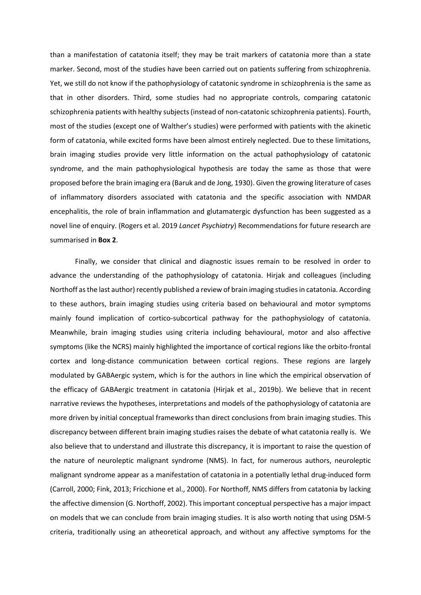than a manifestation of catatonia itself; they may be trait markers of catatonia more than a state marker. Second, most of the studies have been carried out on patients suffering from schizophrenia. Yet, we still do not know if the pathophysiology of catatonic syndrome in schizophrenia is the same as that in other disorders. Third, some studies had no appropriate controls, comparing catatonic schizophrenia patients with healthy subjects (instead of non-catatonic schizophrenia patients). Fourth, most of the studies (except one of Walther's studies) were performed with patients with the akinetic form of catatonia, while excited forms have been almost entirely neglected. Due to these limitations, brain imaging studies provide very little information on the actual pathophysiology of catatonic syndrome, and the main pathophysiological hypothesis are today the same as those that were proposed before the brain imaging era (Baruk and de Jong, 1930). Given the growing literature of cases of inflammatory disorders associated with catatonia and the specific association with NMDAR encephalitis, the role of brain inflammation and glutamatergic dysfunction has been suggested as a novel line of enquiry. (Rogers et al. 2019 *Lancet Psychiatry*) Recommendations for future research are summarised in **Box 2**.

Finally, we consider that clinical and diagnostic issues remain to be resolved in order to advance the understanding of the pathophysiology of catatonia. Hirjak and colleagues (including Northoff as the last author) recently published a review of brain imaging studies in catatonia. According to these authors, brain imaging studies using criteria based on behavioural and motor symptoms mainly found implication of cortico-subcortical pathway for the pathophysiology of catatonia. Meanwhile, brain imaging studies using criteria including behavioural, motor and also affective symptoms (like the NCRS) mainly highlighted the importance of cortical regions like the orbito-frontal cortex and long-distance communication between cortical regions. These regions are largely modulated by GABAergic system, which is for the authors in line which the empirical observation of the efficacy of GABAergic treatment in catatonia (Hirjak et al., 2019b). We believe that in recent narrative reviews the hypotheses, interpretations and models of the pathophysiology of catatonia are more driven by initial conceptual frameworks than direct conclusions from brain imaging studies. This discrepancy between different brain imaging studies raises the debate of what catatonia really is. We also believe that to understand and illustrate this discrepancy, it is important to raise the question of the nature of neuroleptic malignant syndrome (NMS). In fact, for numerous authors, neuroleptic malignant syndrome appear as a manifestation of catatonia in a potentially lethal drug-induced form (Carroll, 2000; Fink, 2013; Fricchione et al., 2000). For Northoff, NMS differs from catatonia by lacking the affective dimension (G. Northoff, 2002). This important conceptual perspective has a major impact on models that we can conclude from brain imaging studies. It is also worth noting that using DSM-5 criteria, traditionally using an atheoretical approach, and without any affective symptoms for the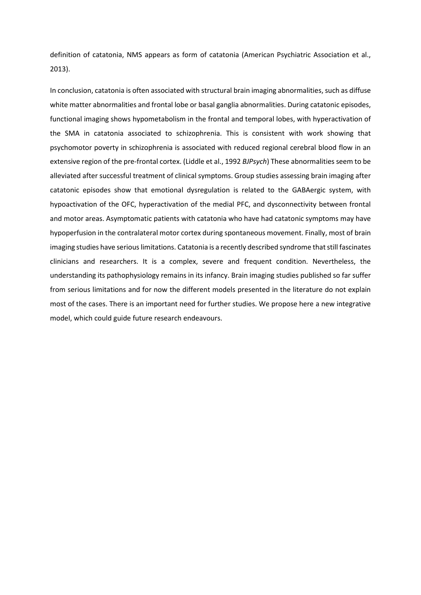definition of catatonia, NMS appears as form of catatonia (American Psychiatric Association et al., 2013).

In conclusion, catatonia is often associated with structural brain imaging abnormalities, such as diffuse white matter abnormalities and frontal lobe or basal ganglia abnormalities. During catatonic episodes, functional imaging shows hypometabolism in the frontal and temporal lobes, with hyperactivation of the SMA in catatonia associated to schizophrenia. This is consistent with work showing that psychomotor poverty in schizophrenia is associated with reduced regional cerebral blood flow in an extensive region of the pre-frontal cortex. (Liddle et al., 1992 *BJPsych*) These abnormalities seem to be alleviated after successful treatment of clinical symptoms. Group studies assessing brain imaging after catatonic episodes show that emotional dysregulation is related to the GABAergic system, with hypoactivation of the OFC, hyperactivation of the medial PFC, and dysconnectivity between frontal and motor areas. Asymptomatic patients with catatonia who have had catatonic symptoms may have hypoperfusion in the contralateral motor cortex during spontaneous movement. Finally, most of brain imaging studies have serious limitations. Catatonia is a recently described syndrome thatstill fascinates clinicians and researchers. It is a complex, severe and frequent condition. Nevertheless, the understanding its pathophysiology remains in its infancy. Brain imaging studies published so far suffer from serious limitations and for now the different models presented in the literature do not explain most of the cases. There is an important need for further studies. We propose here a new integrative model, which could guide future research endeavours.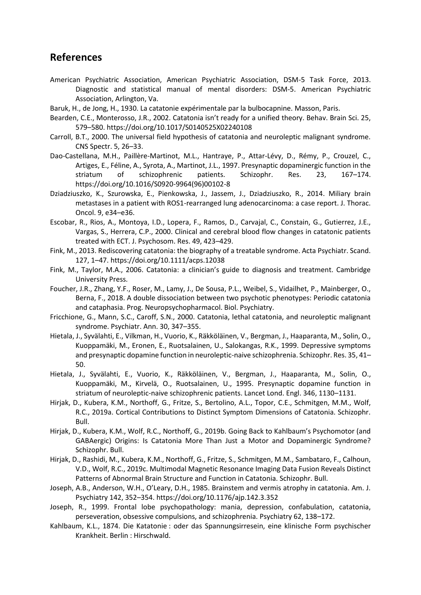# **References**

- American Psychiatric Association, American Psychiatric Association, DSM-5 Task Force, 2013. Diagnostic and statistical manual of mental disorders: DSM-5. American Psychiatric Association, Arlington, Va.
- Baruk, H., de Jong, H., 1930. La catatonie expérimentale par la bulbocapnine. Masson, Paris.
- Bearden, C.E., Monterosso, J.R., 2002. Catatonia isn't ready for a unified theory. Behav. Brain Sci. 25, 579–580. https://doi.org/10.1017/S0140525X02240108
- Carroll, B.T., 2000. The universal field hypothesis of catatonia and neuroleptic malignant syndrome. CNS Spectr. 5, 26–33.
- Dao-Castellana, M.H., Paillère-Martinot, M.L., Hantraye, P., Attar-Lévy, D., Rémy, P., Crouzel, C., Artiges, E., Féline, A., Syrota, A., Martinot, J.L., 1997. Presynaptic dopaminergic function in the striatum of schizophrenic patients. Schizophr. Res. 23, 167–174. https://doi.org/10.1016/S0920-9964(96)00102-8
- Dziadziuszko, K., Szurowska, E., Pienkowska, J., Jassem, J., Dziadziuszko, R., 2014. Miliary brain metastases in a patient with ROS1-rearranged lung adenocarcinoma: a case report. J. Thorac. Oncol. 9, e34–e36.
- Escobar, R., Rios, A., Montoya, I.D., Lopera, F., Ramos, D., Carvajal, C., Constain, G., Gutierrez, J.E., Vargas, S., Herrera, C.P., 2000. Clinical and cerebral blood flow changes in catatonic patients treated with ECT. J. Psychosom. Res. 49, 423–429.
- Fink, M., 2013. Rediscovering catatonia: the biography of a treatable syndrome. Acta Psychiatr. Scand. 127, 1–47. https://doi.org/10.1111/acps.12038
- Fink, M., Taylor, M.A., 2006. Catatonia: a clinician's guide to diagnosis and treatment. Cambridge University Press.
- Foucher, J.R., Zhang, Y.F., Roser, M., Lamy, J., De Sousa, P.L., Weibel, S., Vidailhet, P., Mainberger, O., Berna, F., 2018. A double dissociation between two psychotic phenotypes: Periodic catatonia and cataphasia. Prog. Neuropsychopharmacol. Biol. Psychiatry.
- Fricchione, G., Mann, S.C., Caroff, S.N., 2000. Catatonia, lethal catatonia, and neuroleptic malignant syndrome. Psychiatr. Ann. 30, 347–355.
- Hietala, J., Syvälahti, E., Vilkman, H., Vuorio, K., Räkköläinen, V., Bergman, J., Haaparanta, M., Solin, O., Kuoppamäki, M., Eronen, E., Ruotsalainen, U., Salokangas, R.K., 1999. Depressive symptoms and presynaptic dopamine function in neuroleptic-naive schizophrenia. Schizophr. Res. 35, 41– 50.
- Hietala, J., Syvälahti, E., Vuorio, K., Räkköläinen, V., Bergman, J., Haaparanta, M., Solin, O., Kuoppamäki, M., Kirvelä, O., Ruotsalainen, U., 1995. Presynaptic dopamine function in striatum of neuroleptic-naive schizophrenic patients. Lancet Lond. Engl. 346, 1130–1131.
- Hirjak, D., Kubera, K.M., Northoff, G., Fritze, S., Bertolino, A.L., Topor, C.E., Schmitgen, M.M., Wolf, R.C., 2019a. Cortical Contributions to Distinct Symptom Dimensions of Catatonia. Schizophr. Bull.
- Hirjak, D., Kubera, K.M., Wolf, R.C., Northoff, G., 2019b. Going Back to Kahlbaum's Psychomotor (and GABAergic) Origins: Is Catatonia More Than Just a Motor and Dopaminergic Syndrome? Schizophr. Bull.
- Hirjak, D., Rashidi, M., Kubera, K.M., Northoff, G., Fritze, S., Schmitgen, M.M., Sambataro, F., Calhoun, V.D., Wolf, R.C., 2019c. Multimodal Magnetic Resonance Imaging Data Fusion Reveals Distinct Patterns of Abnormal Brain Structure and Function in Catatonia. Schizophr. Bull.
- Joseph, A.B., Anderson, W.H., O'Leary, D.H., 1985. Brainstem and vermis atrophy in catatonia. Am. J. Psychiatry 142, 352–354. https://doi.org/10.1176/ajp.142.3.352
- Joseph, R., 1999. Frontal lobe psychopathology: mania, depression, confabulation, catatonia, perseveration, obsessive compulsions, and schizophrenia. Psychiatry 62, 138–172.
- Kahlbaum, K.L., 1874. Die Katatonie : oder das Spannungsirresein, eine klinische Form psychischer Krankheit. Berlin : Hirschwald.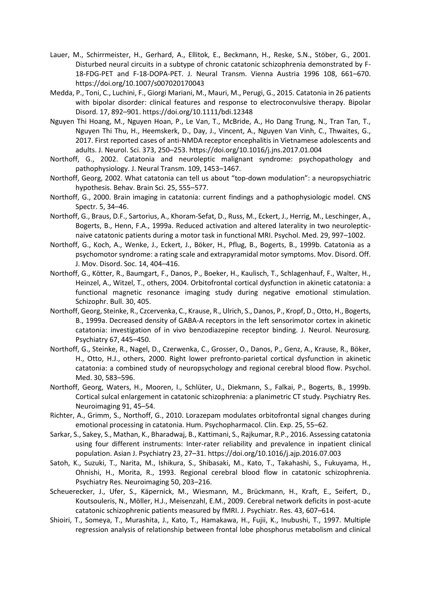- Lauer, M., Schirrmeister, H., Gerhard, A., Ellitok, E., Beckmann, H., Reske, S.N., Stöber, G., 2001. Disturbed neural circuits in a subtype of chronic catatonic schizophrenia demonstrated by F-18-FDG-PET and F-18-DOPA-PET. J. Neural Transm. Vienna Austria 1996 108, 661–670. https://doi.org/10.1007/s007020170043
- Medda, P., Toni, C., Luchini, F., Giorgi Mariani, M., Mauri, M., Perugi, G., 2015. Catatonia in 26 patients with bipolar disorder: clinical features and response to electroconvulsive therapy. Bipolar Disord. 17, 892–901. https://doi.org/10.1111/bdi.12348
- Nguyen Thi Hoang, M., Nguyen Hoan, P., Le Van, T., McBride, A., Ho Dang Trung, N., Tran Tan, T., Nguyen Thi Thu, H., Heemskerk, D., Day, J., Vincent, A., Nguyen Van Vinh, C., Thwaites, G., 2017. First reported cases of anti-NMDA receptor encephalitis in Vietnamese adolescents and adults. J. Neurol. Sci. 373, 250–253. https://doi.org/10.1016/j.jns.2017.01.004
- Northoff, G., 2002. Catatonia and neuroleptic malignant syndrome: psychopathology and pathophysiology. J. Neural Transm. 109, 1453–1467.
- Northoff, Georg, 2002. What catatonia can tell us about "top-down modulation": a neuropsychiatric hypothesis. Behav. Brain Sci. 25, 555–577.
- Northoff, G., 2000. Brain imaging in catatonia: current findings and a pathophysiologic model. CNS Spectr. 5, 34–46.
- Northoff, G., Braus, D.F., Sartorius, A., Khoram-Sefat, D., Russ, M., Eckert, J., Herrig, M., Leschinger, A., Bogerts, B., Henn, F.A., 1999a. Reduced activation and altered laterality in two neurolepticnaive catatonic patients during a motor task in functional MRI. Psychol. Med. 29, 997–1002.
- Northoff, G., Koch, A., Wenke, J., Eckert, J., Böker, H., Pflug, B., Bogerts, B., 1999b. Catatonia as a psychomotor syndrome: a rating scale and extrapyramidal motor symptoms. Mov. Disord. Off. J. Mov. Disord. Soc. 14, 404–416.
- Northoff, G., Kötter, R., Baumgart, F., Danos, P., Boeker, H., Kaulisch, T., Schlagenhauf, F., Walter, H., Heinzel, A., Witzel, T., others, 2004. Orbitofrontal cortical dysfunction in akinetic catatonia: a functional magnetic resonance imaging study during negative emotional stimulation. Schizophr. Bull. 30, 405.
- Northoff, Georg, Steinke, R., Czcervenka, C., Krause, R., Ulrich, S., Danos, P., Kropf, D., Otto, H., Bogerts, B., 1999a. Decreased density of GABA-A receptors in the left sensorimotor cortex in akinetic catatonia: investigation of in vivo benzodiazepine receptor binding. J. Neurol. Neurosurg. Psychiatry 67, 445–450.
- Northoff, G., Steinke, R., Nagel, D., Czerwenka, C., Grosser, O., Danos, P., Genz, A., Krause, R., Böker, H., Otto, H.J., others, 2000. Right lower prefronto-parietal cortical dysfunction in akinetic catatonia: a combined study of neuropsychology and regional cerebral blood flow. Psychol. Med. 30, 583–596.
- Northoff, Georg, Waters, H., Mooren, I., Schlüter, U., Diekmann, S., Falkai, P., Bogerts, B., 1999b. Cortical sulcal enlargement in catatonic schizophrenia: a planimetric CT study. Psychiatry Res. Neuroimaging 91, 45–54.
- Richter, A., Grimm, S., Northoff, G., 2010. Lorazepam modulates orbitofrontal signal changes during emotional processing in catatonia. Hum. Psychopharmacol. Clin. Exp. 25, 55–62.
- Sarkar, S., Sakey, S., Mathan, K., Bharadwaj, B., Kattimani, S., Rajkumar, R.P., 2016. Assessing catatonia using four different instruments: Inter-rater reliability and prevalence in inpatient clinical population. Asian J. Psychiatry 23, 27–31. https://doi.org/10.1016/j.ajp.2016.07.003
- Satoh, K., Suzuki, T., Narita, M., Ishikura, S., Shibasaki, M., Kato, T., Takahashi, S., Fukuyama, H., Ohnishi, H., Morita, R., 1993. Regional cerebral blood flow in catatonic schizophrenia. Psychiatry Res. Neuroimaging 50, 203–216.
- Scheuerecker, J., Ufer, S., Käpernick, M., Wiesmann, M., Brückmann, H., Kraft, E., Seifert, D., Koutsouleris, N., Möller, H.J., Meisenzahl, E.M., 2009. Cerebral network deficits in post-acute catatonic schizophrenic patients measured by fMRI. J. Psychiatr. Res. 43, 607–614.
- Shioiri, T., Someya, T., Murashita, J., Kato, T., Hamakawa, H., Fujii, K., Inubushi, T., 1997. Multiple regression analysis of relationship between frontal lobe phosphorus metabolism and clinical